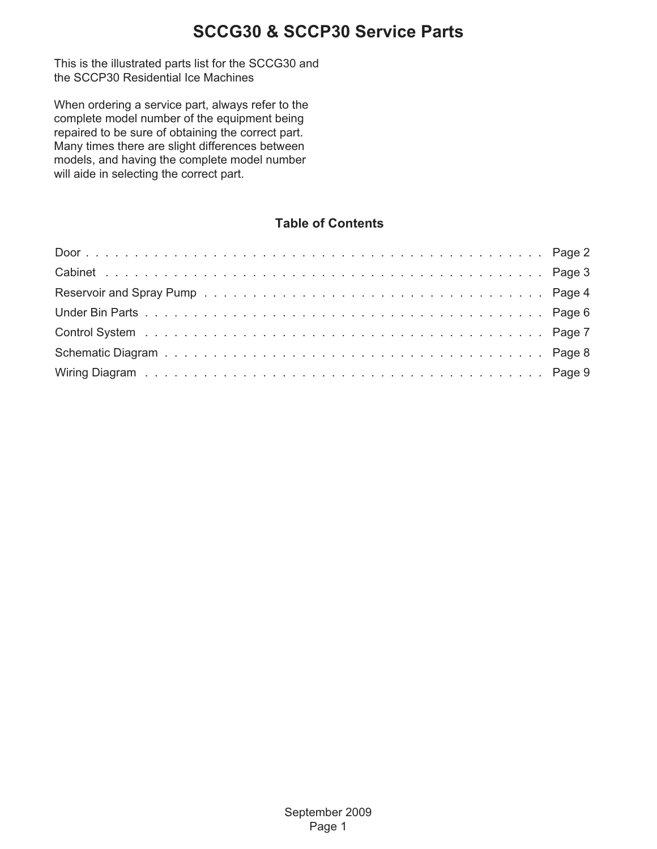This is the illustrated parts list for the SCCG30 and the SCCP30 Residential Ice Machines

When ordering a service part, always refer to the complete model number of the equipment being repaired to be sure of obtaining the correct part. Many times there are slight differences between models, and having the complete model number will aide in selecting the correct part.

#### **Table of Contents**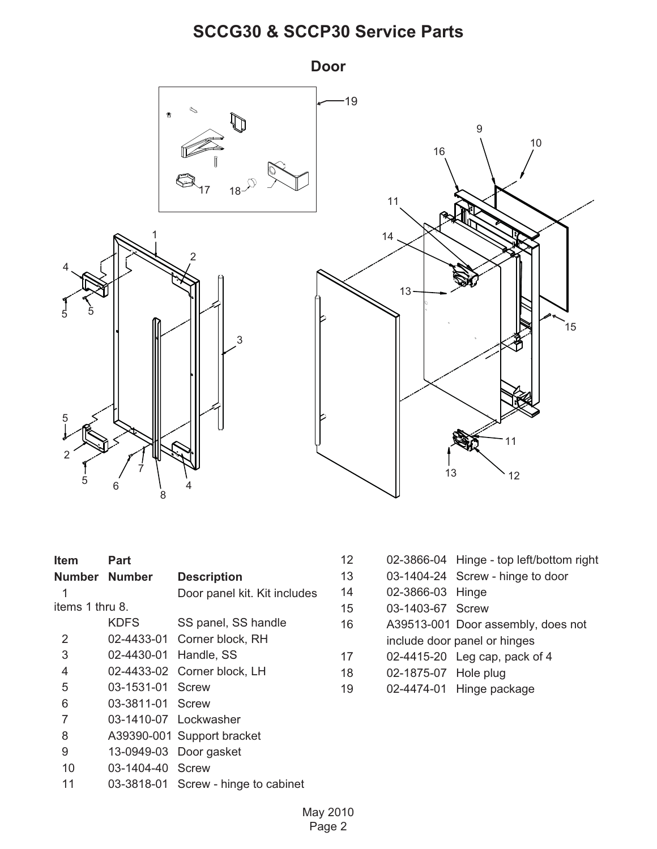<span id="page-1-0"></span>

| ltem            | Part                  |                                     |
|-----------------|-----------------------|-------------------------------------|
| Number Number   |                       | <b>Description</b>                  |
| 1               |                       | Door panel kit. Kit includes        |
| items 1 thru 8. |                       |                                     |
|                 | KDFS                  | SS panel, SS handle                 |
| 2               |                       | 02-4433-01 Corner block, RH         |
| 3               | 02-4430-01 Handle, SS |                                     |
| 4               |                       | 02-4433-02 Corner block, LH         |
| 5               | 03-1531-01 Screw      |                                     |
| 6               | 03-3811-01 Screw      |                                     |
| $\overline{7}$  | 03-1410-07 Lockwasher |                                     |
| 8               |                       | A39390-001 Support bracket          |
| 9               |                       | 13-0949-03 Door gasket              |
| 10              | 03-1404-40 Screw      |                                     |
| 11              |                       | 03-3818-01 Screw - hinge to cabinet |

| 12 | 02-3866-04 Hinge - top left/bottom right |  |  |  |
|----|------------------------------------------|--|--|--|
|----|------------------------------------------|--|--|--|

- 13 03-1404-24 Screw hinge to door
- 14 02-3866-03 Hinge
- 15 03-1403-67 Screw
- 16 A39513-001 Door assembly, does not include door panel or hinges
- 17 02-4415-20 Leg cap, pack of 4
- 18 02-1875-07 Hole plug
- 19 02-4474-01 Hinge package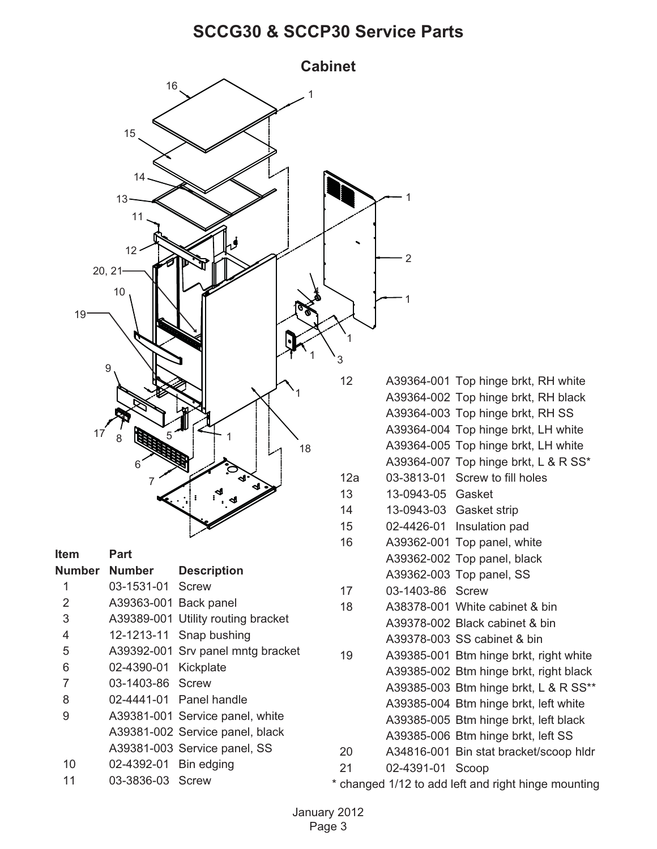<span id="page-2-0"></span>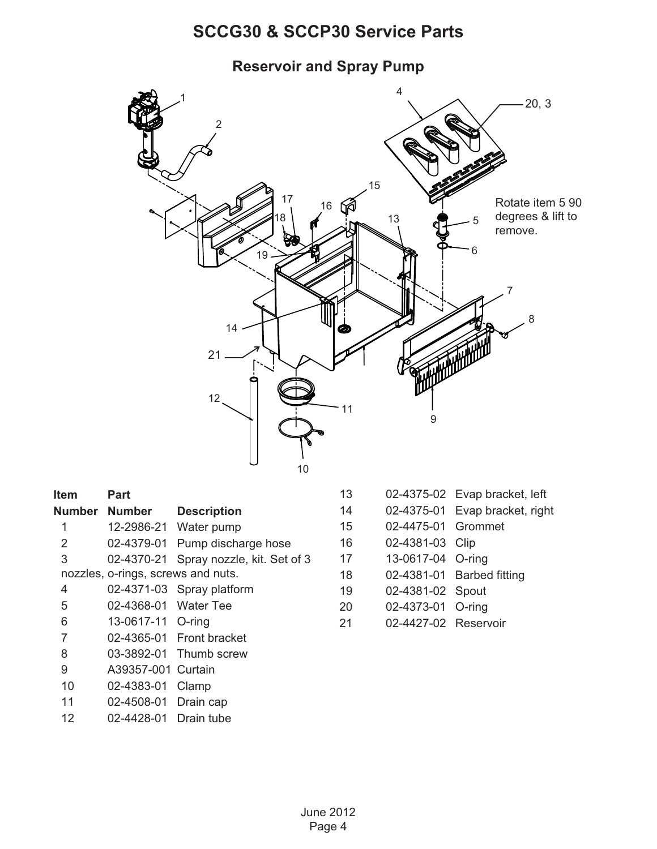**Reservoir and Spray Pump**

<span id="page-3-0"></span>

| ltem          | Part                               |                             |
|---------------|------------------------------------|-----------------------------|
| Number Number |                                    | <b>Description</b>          |
| 1             | 12-2986-21                         | Water pump                  |
| 2             | 02-4379-01                         | Pump discharge hose         |
| 3             | 02-4370-21                         | Spray nozzle, kit. Set of 3 |
|               | nozzles, o-rings, screws and nuts. |                             |
| 4             |                                    | 02-4371-03 Spray platform   |
| 5             | 02-4368-01 Water Tee               |                             |
| 6             | 13-0617-11 O-ring                  |                             |
| 7             |                                    | 02-4365-01 Front bracket    |
| 8             |                                    | 03-3892-01 Thumb screw      |
| 9             | A39357-001                         | Curtain                     |
| 10            | 02-4383-01                         | Clamp                       |
| 11            | 02-4508-01                         | Drain cap                   |
| 12            | 02-4428-01 Drain tube              |                             |

- 13 02-4375-02 Evap bracket, left
- 14 02-4375-01 Evap bracket, right
- 15 02-4475-01 Grommet
- 16 02-4381-03 Clip
- 17 13-0617-04 O-ring
- 18 02-4381-01 Barbed fitting
- 19 02-4381-02 Spout
- 20 02-4373-01 O-ring
- 21 02-4427-02 Reservoir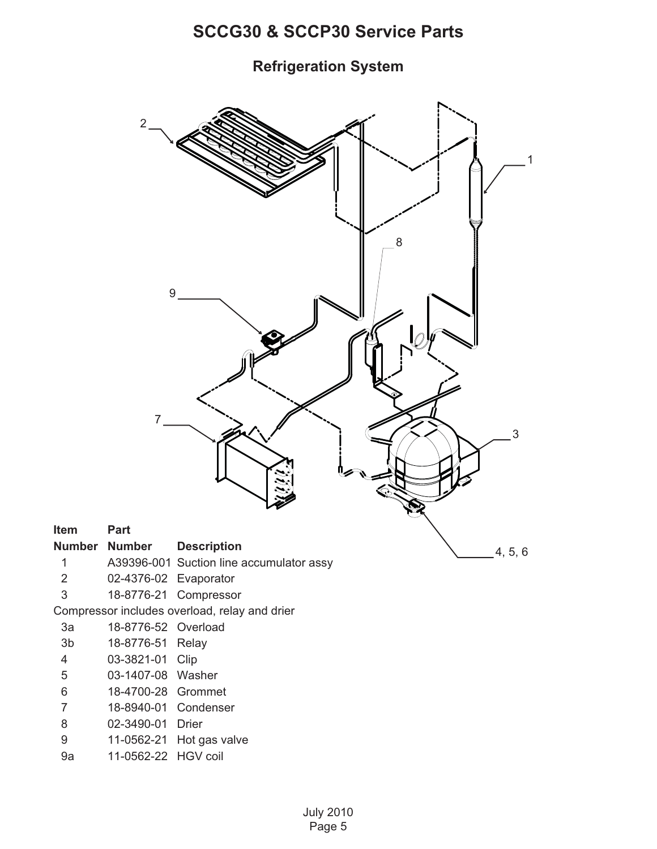**Refrigeration System**

<span id="page-4-0"></span>

- 3a 18-8776-52 Overload
- 3b 18-8776-51 Relay
- 4 03-3821-01 Clip
- 5 03-1407-08 Washer
- 6 18-4700-28 Grommet
- 7 18-8940-01 Condenser
- 8 02-3490-01 Drier
- 9 11-0562-21 Hot gas valve
- 9a 11-0562-22 HGV coil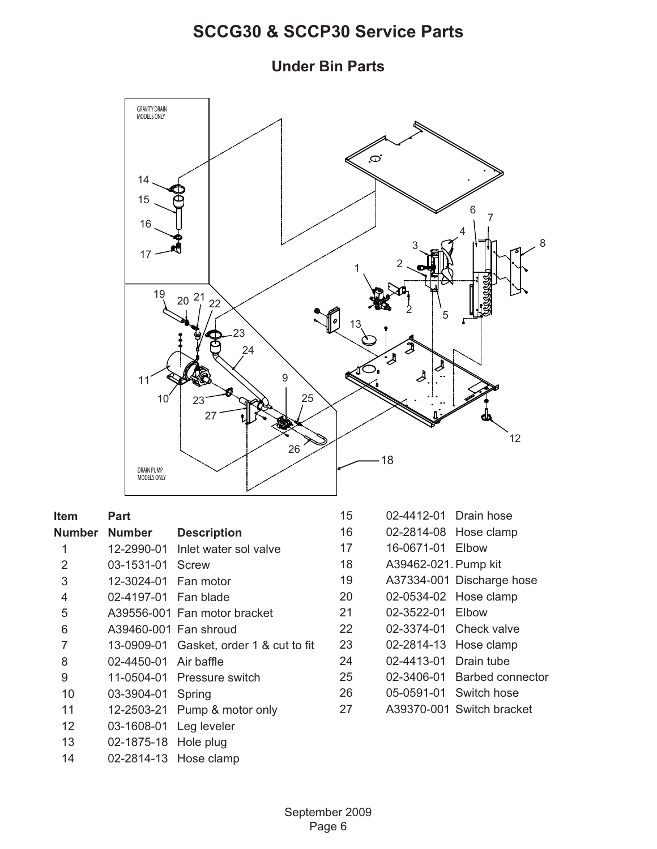**Under Bin Parts**

<span id="page-5-0"></span>

| Item            | Part                  |                                         | 1              |
|-----------------|-----------------------|-----------------------------------------|----------------|
|                 | Number Number         | <b>Description</b>                      | 16             |
| 1               |                       | 12-2990-01 Inlet water sol valve        | 1              |
| 2               | 03-1531-01 Screw      |                                         | 18             |
| 3               | 12-3024-01 Fan motor  |                                         | 19             |
| 4               | 02-4197-01 Fan blade  |                                         | 2(             |
| 5               |                       | A39556-001 Fan motor bracket            | $2^.$          |
| 6               | A39460-001 Fan shroud |                                         | 2 <sup>′</sup> |
| $\overline{7}$  |                       | 13-0909-01 Gasket, order 1 & cut to fit | 2 <sup>′</sup> |
| 8               | 02-4450-01 Air baffle |                                         | 2ء             |
| 9               |                       | 11-0504-01 Pressure switch              | 25             |
| 10              | 03-3904-01 Spring     |                                         | 2 <sub>0</sub> |
| 11              |                       | 12-2503-21 Pump & motor only            | $2^{\cdot}$    |
| 12 <sup>2</sup> | 03-1608-01            | Leg leveler                             |                |
| 13              | 02-1875-18 Hole plug  |                                         |                |
| 14              | 02-2814-13 Hose clamp |                                         |                |

| 15 | 02-4412-01           | Drain hose              |
|----|----------------------|-------------------------|
| 16 | 02-2814-08           | Hose clamp              |
| 17 | 16-0671-01           | Elbow                   |
| 18 | A39462-021. Pump kit |                         |
| 19 | A37334-001           | Discharge hose          |
| 20 | 02-0534-02           | Hose clamp              |
| 21 | 02-3522-01           | Elbow                   |
| 22 | 02-3374-01           | Check valve             |
| 23 | 02-2814-13           | Hose clamp              |
| 24 | 02-4413-01           | Drain tube              |
| 25 | 02-3406-01           | <b>Barbed connector</b> |
| 26 | 05-0591-01           | Switch hose             |
| 27 | A39370-001           | Switch bracket          |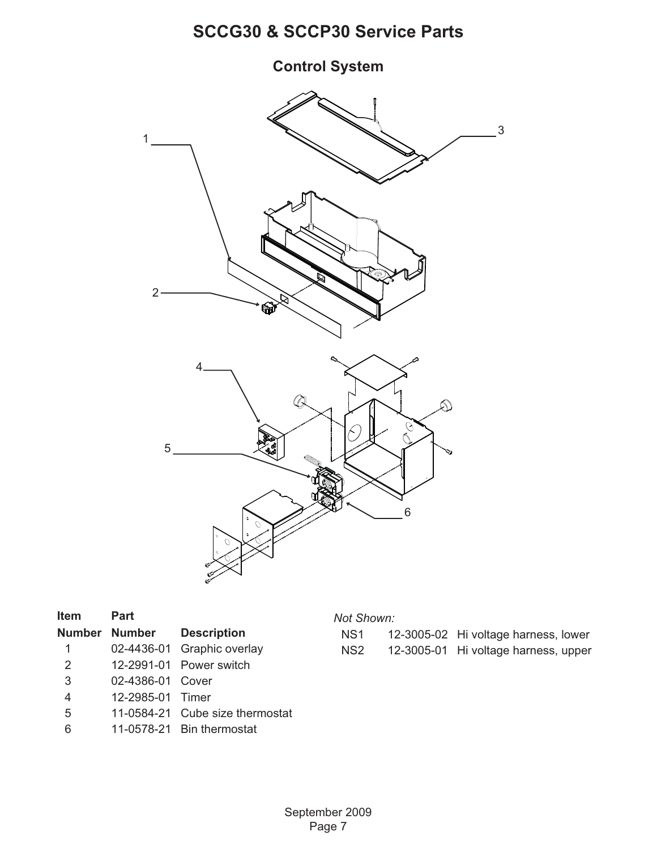# **Control System**



| Item         | Part             |                                  |
|--------------|------------------|----------------------------------|
|              |                  | <b>Number Number Description</b> |
| $\mathbf{1}$ |                  | 02-4436-01 Graphic overlay       |
| 2            |                  | 12-2991-01 Power switch          |
| 3            | 02-4386-01 Cover |                                  |
| 4            | 12-2985-01 Timer |                                  |
| 5            |                  | 11-0584-21 Cube size thermostat  |
| 6            |                  | 11-0578-21 Bin thermostat        |

#### *Not Shown:*

| NS1  | 12-3005-02 Hi voltage harness, lower |
|------|--------------------------------------|
| NS2. | 12-3005-01 Hi voltage harness, upper |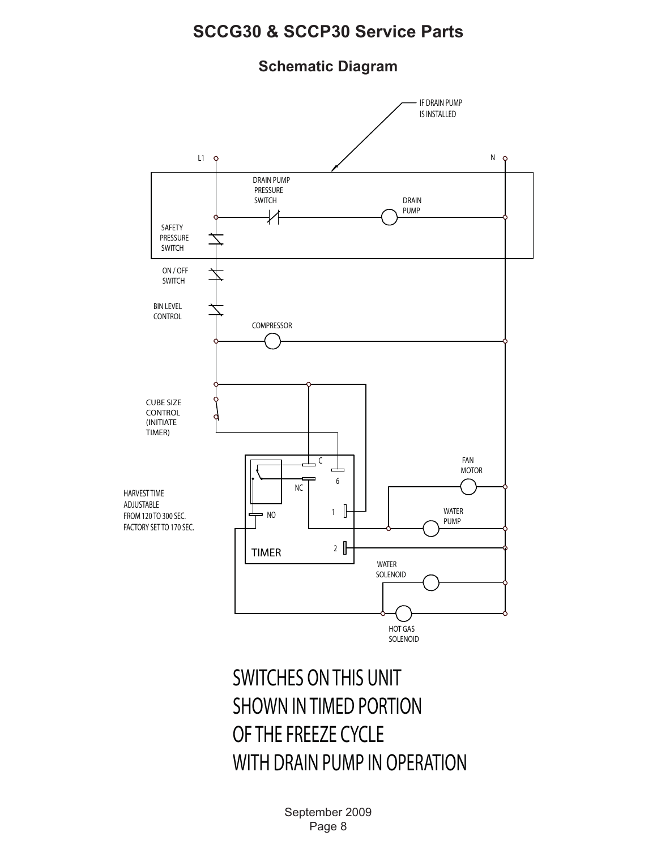#### **Schematic Diagram**

<span id="page-7-0"></span>

# SWITCHES ON THIS UNIT SHOWN IN TIMED PORTION OF THE FREEZE CYCLE WITH DRAIN PUMP IN OPERATION

September 2009 Page 8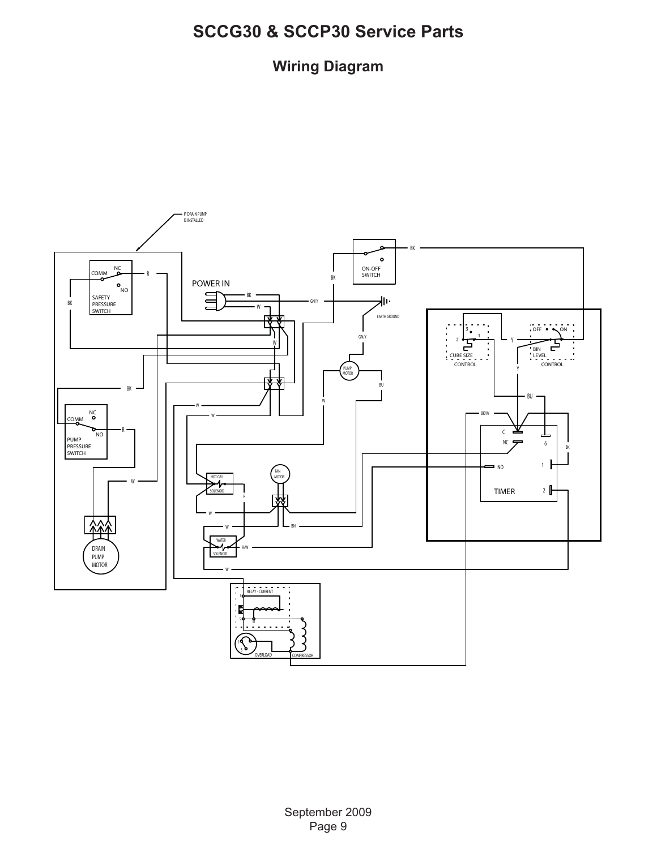### **Wiring Diagram**

<span id="page-8-0"></span>